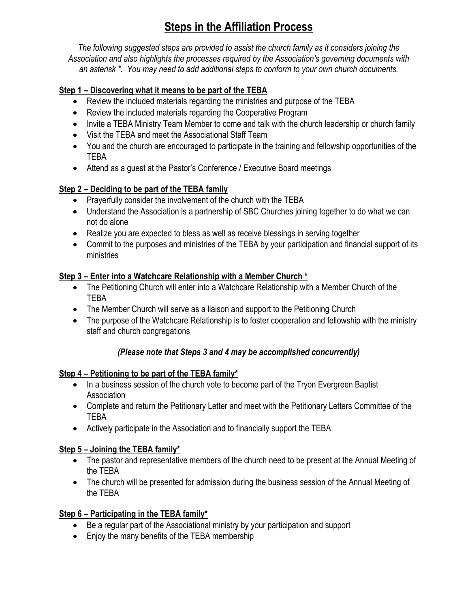# **Steps in the Affiliation Process**

*The following suggested steps are provided to assist the church family as it considers joining the Association and also highlights the processes required by the Association's governing documents with an asterisk \*. You may need to add additional steps to conform to your own church documents.*

## **Step 1 – Discovering what it means to be part of the TEBA**

- Review the included materials regarding the ministries and purpose of the TEBA
- Review the included materials regarding the Cooperative Program
- Invite a TEBA Ministry Team Member to come and talk with the church leadership or church family
- Visit the TEBA and meet the Associational Staff Team
- You and the church are encouraged to participate in the training and fellowship opportunities of the TEBA
- Attend as a guest at the Pastor's Conference / Executive Board meetings

# **Step 2 – Deciding to be part of the TEBA family**

- Prayerfully consider the involvement of the church with the TEBA
- Understand the Association is a partnership of SBC Churches joining together to do what we can not do alone
- Realize you are expected to bless as well as receive blessings in serving together
- Commit to the purposes and ministries of the TEBA by your participation and financial support of its ministries

## **Step 3 – Enter into a Watchcare Relationship with a Member Church \***

- The Petitioning Church will enter into a Watchcare Relationship with a Member Church of the TEBA
- The Member Church will serve as a liaison and support to the Petitioning Church
- The purpose of the Watchcare Relationship is to foster cooperation and fellowship with the ministry staff and church congregations

# *(Please note that Steps 3 and 4 may be accomplished concurrently)*

## **Step 4 – Petitioning to be part of the TEBA family\***

- In a business session of the church vote to become part of the Tryon Evergreen Baptist Association
- Complete and return the Petitionary Letter and meet with the Petitionary Letters Committee of the TEBA
- Actively participate in the Association and to financially support the TEBA

## **Step 5 – Joining the TEBA family\***

- The pastor and representative members of the church need to be present at the Annual Meeting of the TEBA
- The church will be presented for admission during the business session of the Annual Meeting of the TEBA

# **Step 6 – Participating in the TEBA family\***

- Be a regular part of the Associational ministry by your participation and support
- Enjoy the many benefits of the TEBA membership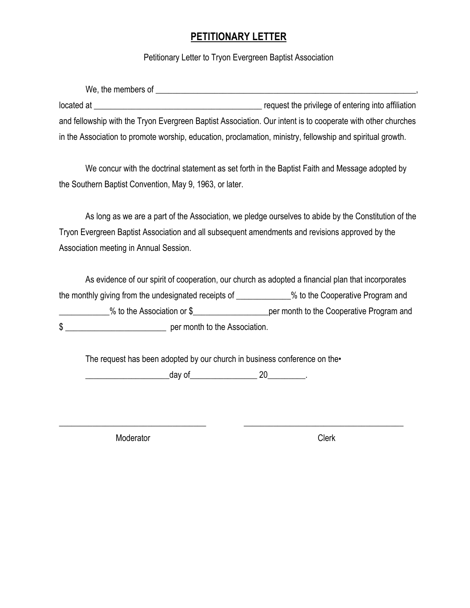# **PETITIONARY LETTER**

Petitionary Letter to Tryon Evergreen Baptist Association

| We, the members of                                                                                          |                                                    |
|-------------------------------------------------------------------------------------------------------------|----------------------------------------------------|
| located at                                                                                                  | request the privilege of entering into affiliation |
| and fellowship with the Tryon Evergreen Baptist Association. Our intent is to cooperate with other churches |                                                    |
| in the Association to promote worship, education, proclamation, ministry, fellowship and spiritual growth.  |                                                    |

We concur with the doctrinal statement as set forth in the Baptist Faith and Message adopted by the Southern Baptist Convention, May 9, 1963, or later.

As long as we are a part of the Association, we pledge ourselves to abide by the Constitution of the Tryon Evergreen Baptist Association and all subsequent amendments and revisions approved by the Association meeting in Annual Session.

As evidence of our spirit of cooperation, our church as adopted a financial plan that incorporates the monthly giving from the undesignated receipts of \_\_\_\_\_\_\_\_\_\_\_% to the Cooperative Program and \_\_\_\_\_\_\_\_\_\_\_\_% to the Association or \$\_\_\_\_\_\_\_\_\_\_\_\_\_\_\_\_\_\_per month to the Cooperative Program and  $\frac{1}{2}$  per month to the Association.

\_\_\_\_\_\_\_\_\_\_\_\_\_\_\_\_\_\_\_\_\_\_\_\_\_\_\_\_\_\_\_\_\_\_\_ \_\_\_\_\_\_\_\_\_\_\_\_\_\_\_\_\_\_\_\_\_\_\_\_\_\_\_\_\_\_\_\_\_\_\_\_\_\_

The request has been adopted by our church in business conference on the

 $\qquad \qquad \textrm{day of} \qquad \qquad \qquad 20 \qquad \qquad \qquad .$ 

Moderator **Clerk**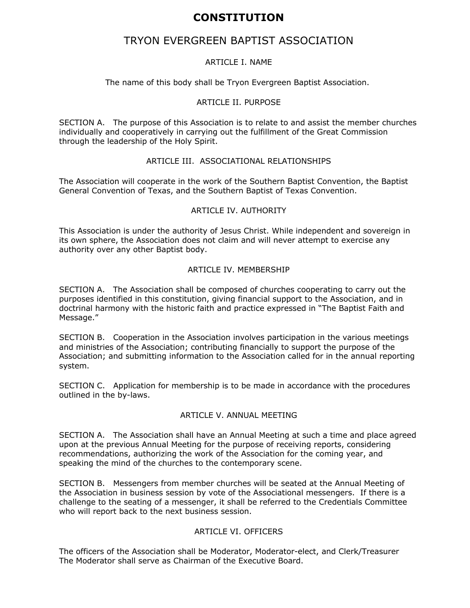# **CONSTITUTION**

# TRYON EVERGREEN BAPTIST ASSOCIATION

#### ARTICLE I. NAME

The name of this body shall be Tryon Evergreen Baptist Association.

#### ARTICLE II. PURPOSE

SECTION A. The purpose of this Association is to relate to and assist the member churches individually and cooperatively in carrying out the fulfillment of the Great Commission through the leadership of the Holy Spirit.

#### ARTICLE III. ASSOCIATIONAL RELATIONSHIPS

The Association will cooperate in the work of the Southern Baptist Convention, the Baptist General Convention of Texas, and the Southern Baptist of Texas Convention.

#### ARTICLE IV. AUTHORITY

This Association is under the authority of Jesus Christ. While independent and sovereign in its own sphere, the Association does not claim and will never attempt to exercise any authority over any other Baptist body.

#### ARTICLE IV. MEMBERSHIP

SECTION A. The Association shall be composed of churches cooperating to carry out the purposes identified in this constitution, giving financial support to the Association, and in doctrinal harmony with the historic faith and practice expressed in "The Baptist Faith and Message."

SECTION B. Cooperation in the Association involves participation in the various meetings and ministries of the Association; contributing financially to support the purpose of the Association; and submitting information to the Association called for in the annual reporting system.

SECTION C. Application for membership is to be made in accordance with the procedures outlined in the by-laws.

#### ARTICLE V. ANNUAL MEETING

SECTION A. The Association shall have an Annual Meeting at such a time and place agreed upon at the previous Annual Meeting for the purpose of receiving reports, considering recommendations, authorizing the work of the Association for the coming year, and speaking the mind of the churches to the contemporary scene.

SECTION B. Messengers from member churches will be seated at the Annual Meeting of the Association in business session by vote of the Associational messengers. If there is a challenge to the seating of a messenger, it shall be referred to the Credentials Committee who will report back to the next business session.

#### ARTICLE VI. OFFICERS

The officers of the Association shall be Moderator, Moderator-elect, and Clerk/Treasurer The Moderator shall serve as Chairman of the Executive Board.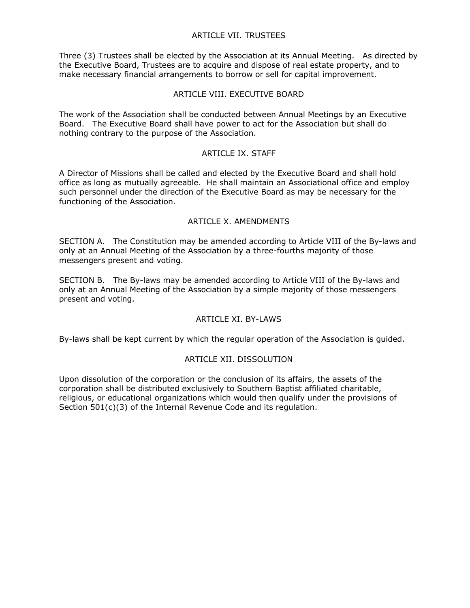#### ARTICLE VII. TRUSTEES

Three (3) Trustees shall be elected by the Association at its Annual Meeting. As directed by the Executive Board, Trustees are to acquire and dispose of real estate property, and to make necessary financial arrangements to borrow or sell for capital improvement.

#### ARTICLE VIII. EXECUTIVE BOARD

The work of the Association shall be conducted between Annual Meetings by an Executive Board. The Executive Board shall have power to act for the Association but shall do nothing contrary to the purpose of the Association.

#### ARTICLE IX. STAFF

A Director of Missions shall be called and elected by the Executive Board and shall hold office as long as mutually agreeable. He shall maintain an Associational office and employ such personnel under the direction of the Executive Board as may be necessary for the functioning of the Association.

#### ARTICLE X. AMENDMENTS

SECTION A. The Constitution may be amended according to Article VIII of the By-laws and only at an Annual Meeting of the Association by a three-fourths majority of those messengers present and voting.

SECTION B. The By-laws may be amended according to Article VIII of the By-laws and only at an Annual Meeting of the Association by a simple majority of those messengers present and voting.

#### ARTICLE XI. BY-LAWS

By-laws shall be kept current by which the regular operation of the Association is guided.

#### ARTICLE XII. DISSOLUTION

Upon dissolution of the corporation or the conclusion of its affairs, the assets of the corporation shall be distributed exclusively to Southern Baptist affiliated charitable, religious, or educational organizations which would then qualify under the provisions of Section 501(c)(3) of the Internal Revenue Code and its regulation.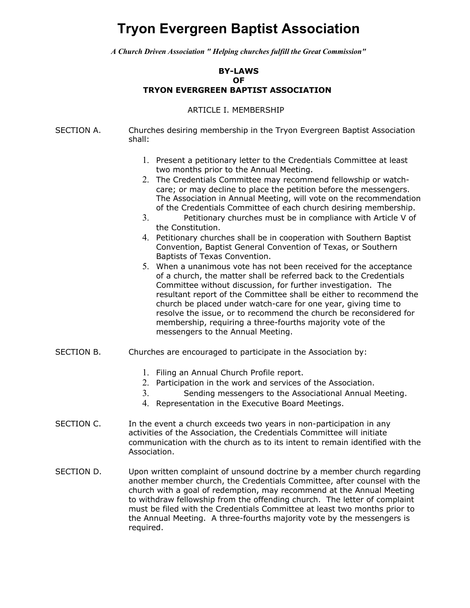# **Tryon Evergreen Baptist Association**

*A Church Driven Association " Helping churches fulfill the Great Commission"*

#### **BY-LAWS OF TRYON EVERGREEN BAPTIST ASSOCIATION**

#### ARTICLE I. MEMBERSHIP

SECTION A. Churches desiring membership in the Tryon Evergreen Baptist Association shall:

- 1. Present a petitionary letter to the Credentials Committee at least two months prior to the Annual Meeting.
- 2. The Credentials Committee may recommend fellowship or watchcare; or may decline to place the petition before the messengers. The Association in Annual Meeting, will vote on the recommendation of the Credentials Committee of each church desiring membership.
- 3. Petitionary churches must be in compliance with Article V of the Constitution.
- 4. Petitionary churches shall be in cooperation with Southern Baptist Convention, Baptist General Convention of Texas, or Southern Baptists of Texas Convention.
- 5. When a unanimous vote has not been received for the acceptance of a church, the matter shall be referred back to the Credentials Committee without discussion, for further investigation. The resultant report of the Committee shall be either to recommend the church be placed under watch-care for one year, giving time to resolve the issue, or to recommend the church be reconsidered for membership, requiring a three-fourths majority vote of the messengers to the Annual Meeting.
- SECTION B. Churches are encouraged to participate in the Association by:
	- 1. Filing an Annual Church Profile report.
	- 2. Participation in the work and services of the Association.
	- 3. Sending messengers to the Associational Annual Meeting.
	- 4. Representation in the Executive Board Meetings.
- SECTION C. In the event a church exceeds two years in non-participation in any activities of the Association, the Credentials Committee will initiate communication with the church as to its intent to remain identified with the Association.
- SECTION D. Upon written complaint of unsound doctrine by a member church regarding another member church, the Credentials Committee, after counsel with the church with a goal of redemption, may recommend at the Annual Meeting to withdraw fellowship from the offending church. The letter of complaint must be filed with the Credentials Committee at least two months prior to the Annual Meeting. A three-fourths majority vote by the messengers is required.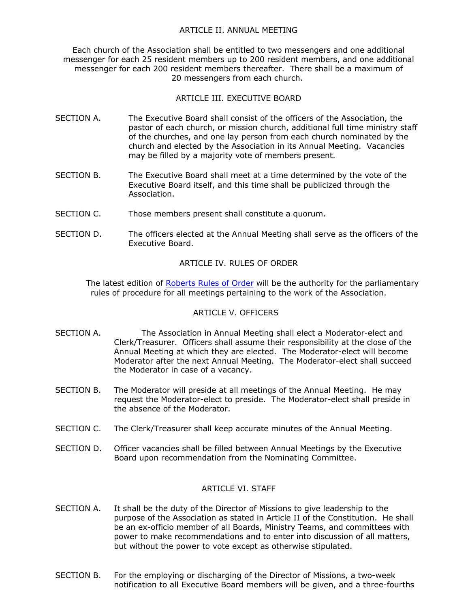#### ARTICLE II. ANNUAL MEETING

Each church of the Association shall be entitled to two messengers and one additional messenger for each 25 resident members up to 200 resident members, and one additional messenger for each 200 resident members thereafter. There shall be a maximum of 20 messengers from each church.

#### ARTICLE III. EXECUTIVE BOARD

- SECTION A. The Executive Board shall consist of the officers of the Association, the pastor of each church, or mission church, additional full time ministry staff of the churches, and one lay person from each church nominated by the church and elected by the Association in its Annual Meeting. Vacancies may be filled by a majority vote of members present.
- SECTION B. The Executive Board shall meet at a time determined by the vote of the Executive Board itself, and this time shall be publicized through the Association.
- SECTION C. Those members present shall constitute a quorum.
- SECTION D. The officers elected at the Annual Meeting shall serve as the officers of the Executive Board.

#### ARTICLE IV. RULES OF ORDER

The latest edition of Roberts Rules of Order will be the authority for the parliamentary rules of procedure for all meetings pertaining to the work of the Association.

#### ARTICLE V. OFFICERS

- SECTION A. The Association in Annual Meeting shall elect a Moderator-elect and Clerk/Treasurer. Officers shall assume their responsibility at the close of the Annual Meeting at which they are elected. The Moderator-elect will become Moderator after the next Annual Meeting. The Moderator-elect shall succeed the Moderator in case of a vacancy.
- SECTION B. The Moderator will preside at all meetings of the Annual Meeting. He may request the Moderator-elect to preside. The Moderator-elect shall preside in the absence of the Moderator.
- SECTION C. The Clerk/Treasurer shall keep accurate minutes of the Annual Meeting.
- SECTION D. Officer vacancies shall be filled between Annual Meetings by the Executive Board upon recommendation from the Nominating Committee.

#### ARTICLE VI. STAFF

- SECTION A. It shall be the duty of the Director of Missions to give leadership to the purpose of the Association as stated in Article II of the Constitution. He shall be an ex-officio member of all Boards, Ministry Teams, and committees with power to make recommendations and to enter into discussion of all matters, but without the power to vote except as otherwise stipulated.
- SECTION B. For the employing or discharging of the Director of Missions, a two-week notification to all Executive Board members will be given, and a three-fourths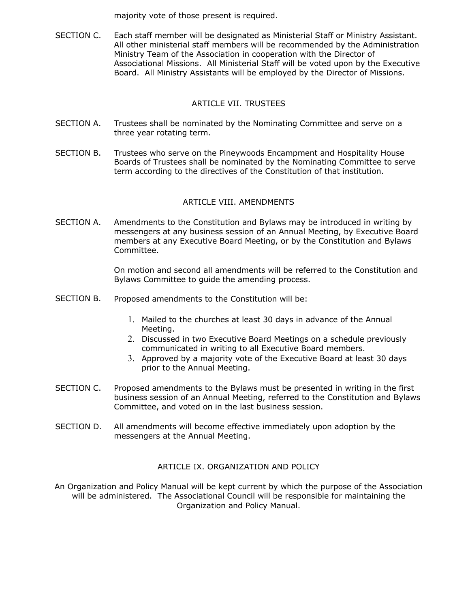majority vote of those present is required.

SECTION C. Each staff member will be designated as Ministerial Staff or Ministry Assistant. All other ministerial staff members will be recommended by the Administration Ministry Team of the Association in cooperation with the Director of Associational Missions. All Ministerial Staff will be voted upon by the Executive Board. All Ministry Assistants will be employed by the Director of Missions.

#### ARTICLE VII. TRUSTEES

- SECTION A. Trustees shall be nominated by the Nominating Committee and serve on a three year rotating term.
- SECTION B. Trustees who serve on the Pineywoods Encampment and Hospitality House Boards of Trustees shall be nominated by the Nominating Committee to serve term according to the directives of the Constitution of that institution.

#### ARTICLE VIII. AMENDMENTS

SECTION A. Amendments to the Constitution and Bylaws may be introduced in writing by messengers at any business session of an Annual Meeting, by Executive Board members at any Executive Board Meeting, or by the Constitution and Bylaws Committee.

> On motion and second all amendments will be referred to the Constitution and Bylaws Committee to guide the amending process.

- SECTION B. Proposed amendments to the Constitution will be:
	- 1. Mailed to the churches at least 30 days in advance of the Annual Meeting.
	- 2. Discussed in two Executive Board Meetings on a schedule previously communicated in writing to all Executive Board members.
	- 3. Approved by a majority vote of the Executive Board at least 30 days prior to the Annual Meeting.
- SECTION C. Proposed amendments to the Bylaws must be presented in writing in the first business session of an Annual Meeting, referred to the Constitution and Bylaws Committee, and voted on in the last business session.
- SECTION D. All amendments will become effective immediately upon adoption by the messengers at the Annual Meeting.

#### ARTICLE IX. ORGANIZATION AND POLICY

An Organization and Policy Manual will be kept current by which the purpose of the Association will be administered. The Associational Council will be responsible for maintaining the Organization and Policy Manual.